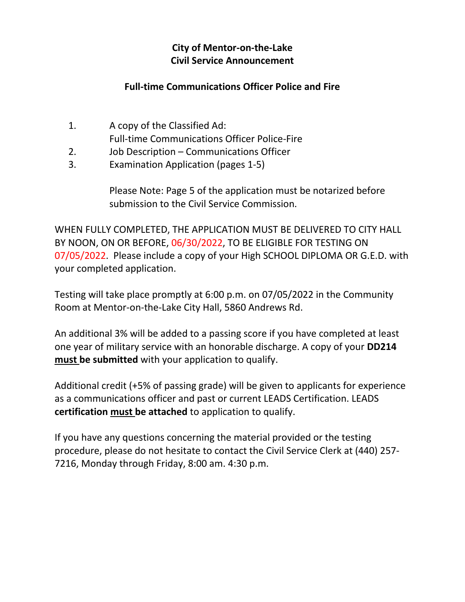## **City of Mentor-on-the-Lake Civil Service Announcement**

## **Full-time Communications Officer Police and Fire**

- 1. A copy of the Classified Ad: Full-time Communications Officer Police-Fire
- 2. Job Description Communications Officer
- 3. Examination Application (pages 1-5)

Please Note: Page 5 of the application must be notarized before submission to the Civil Service Commission.

WHEN FULLY COMPLETED, THE APPLICATION MUST BE DELIVERED TO CITY HALL BY NOON, ON OR BEFORE, 06/30/2022, TO BE ELIGIBLE FOR TESTING ON 07/05/2022. Please include a copy of your High SCHOOL DIPLOMA OR G.E.D. with your completed application.

Testing will take place promptly at 6:00 p.m. on 07/05/2022 in the Community Room at Mentor-on-the-Lake City Hall, 5860 Andrews Rd.

An additional 3% will be added to a passing score if you have completed at least one year of military service with an honorable discharge. A copy of your **DD214 must be submitted** with your application to qualify.

Additional credit (+5% of passing grade) will be given to applicants for experience as a communications officer and past or current LEADS Certification. LEADS **certification must be attached** to application to qualify.

If you have any questions concerning the material provided or the testing procedure, please do not hesitate to contact the Civil Service Clerk at (440) 257- 7216, Monday through Friday, 8:00 am. 4:30 p.m.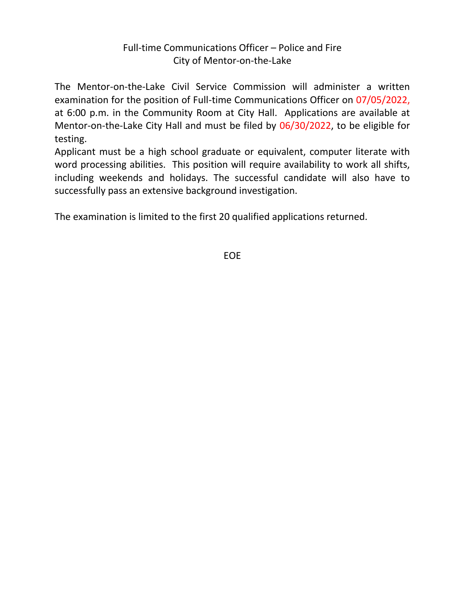## Full-time Communications Officer – Police and Fire City of Mentor-on-the-Lake

The Mentor-on-the-Lake Civil Service Commission will administer a written examination for the position of Full-time Communications Officer on 07/05/2022, at 6:00 p.m. in the Community Room at City Hall. Applications are available at Mentor-on-the-Lake City Hall and must be filed by 06/30/2022, to be eligible for testing.

Applicant must be a high school graduate or equivalent, computer literate with word processing abilities. This position will require availability to work all shifts, including weekends and holidays. The successful candidate will also have to successfully pass an extensive background investigation.

The examination is limited to the first 20 qualified applications returned.

EOE